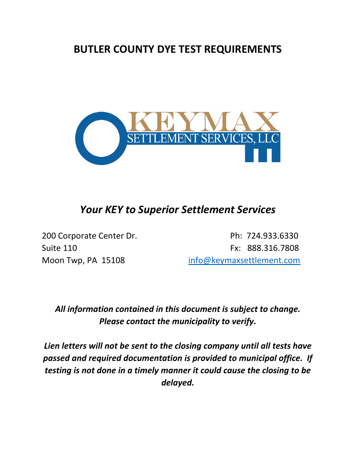## **BUTLER COUNTY DYE TEST REQUIREMENTS**



## *Your KEY to Superior Settlement Services*

200 Corporate Center Dr. Ph: 724.933.6330 Suite 110 **Fx: 888.316.7808** Moon Twp, PA 15108 [info@keymaxsettlement.com](mailto:info@keymaxsettlement.com)

## *All information contained in this document is subject to change. Please contact the municipality to verify.*

*Lien letters will not be sent to the closing company until all tests have passed and required documentation is provided to municipal office. If testing is not done in a timely manner it could cause the closing to be delayed.*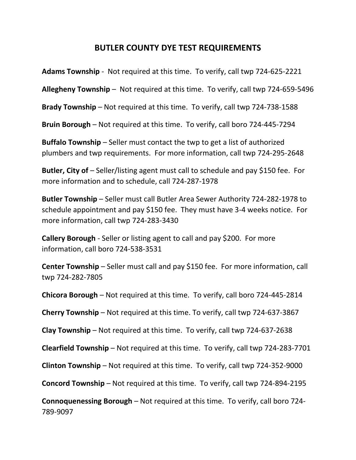## **BUTLER COUNTY DYE TEST REQUIREMENTS**

**Adams Township** - Not required at this time. To verify, call twp 724-625-2221

**Allegheny Township** – Not required at this time. To verify, call twp 724-659-5496

**Brady Township** – Not required at this time. To verify, call twp 724-738-1588

**Bruin Borough** – Not required at this time. To verify, call boro 724-445-7294

**Buffalo Township** – Seller must contact the twp to get a list of authorized plumbers and twp requirements. For more information, call twp 724-295-2648

**Butler, City of** – Seller/listing agent must call to schedule and pay \$150 fee. For more information and to schedule, call 724-287-1978

**Butler Township** – Seller must call Butler Area Sewer Authority 724-282-1978 to schedule appointment and pay \$150 fee. They must have 3-4 weeks notice. For more information, call twp 724-283-3430

**Callery Borough** - Seller or listing agent to call and pay \$200. For more information, call boro 724-538-3531

**Center Township** – Seller must call and pay \$150 fee. For more information, call twp 724-282-7805

**Chicora Borough** – Not required at this time. To verify, call boro 724-445-2814

**Cherry Township** – Not required at this time. To verify, call twp 724-637-3867

**Clay Township** – Not required at this time. To verify, call twp 724-637-2638

**Clearfield Township** – Not required at this time. To verify, call twp 724-283-7701

**Clinton Township** – Not required at this time. To verify, call twp 724-352-9000

**Concord Township** – Not required at this time. To verify, call twp 724-894-2195

**Connoquenessing Borough** – Not required at this time. To verify, call boro 724- 789-9097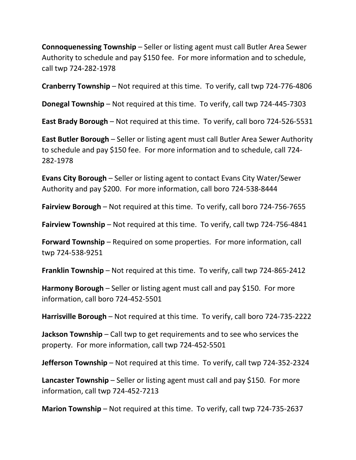**Connoquenessing Township** – Seller or listing agent must call Butler Area Sewer Authority to schedule and pay \$150 fee. For more information and to schedule, call twp 724-282-1978

**Cranberry Township** – Not required at this time. To verify, call twp 724-776-4806

**Donegal Township** – Not required at this time. To verify, call twp 724-445-7303

**East Brady Borough** – Not required at this time. To verify, call boro 724-526-5531

**East Butler Borough** – Seller or listing agent must call Butler Area Sewer Authority to schedule and pay \$150 fee. For more information and to schedule, call 724- 282-1978

**Evans City Borough** – Seller or listing agent to contact Evans City Water/Sewer Authority and pay \$200. For more information, call boro 724-538-8444

**Fairview Borough** – Not required at this time. To verify, call boro 724-756-7655

**Fairview Township** – Not required at this time. To verify, call twp 724-756-4841

**Forward Township** – Required on some properties. For more information, call twp 724-538-9251

**Franklin Township** – Not required at this time. To verify, call twp 724-865-2412

**Harmony Borough** – Seller or listing agent must call and pay \$150. For more information, call boro 724-452-5501

**Harrisville Borough** – Not required at this time. To verify, call boro 724-735-2222

**Jackson Township** – Call twp to get requirements and to see who services the property. For more information, call twp 724-452-5501

**Jefferson Township** – Not required at this time. To verify, call twp 724-352-2324

**Lancaster Township** – Seller or listing agent must call and pay \$150. For more information, call twp 724-452-7213

**Marion Township** – Not required at this time. To verify, call twp 724-735-2637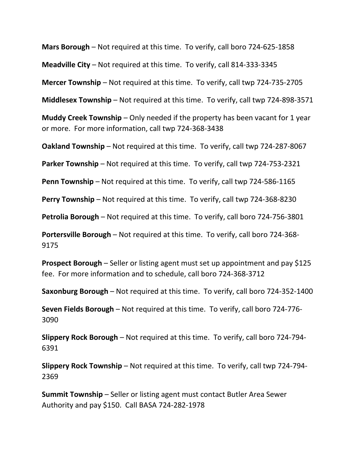**Mars Borough** – Not required at this time. To verify, call boro 724-625-1858

**Meadville City** – Not required at this time. To verify, call 814-333-3345

**Mercer Township** – Not required at this time. To verify, call twp 724-735-2705

**Middlesex Township** – Not required at this time. To verify, call twp 724-898-3571

**Muddy Creek Township** – Only needed if the property has been vacant for 1 year or more. For more information, call twp 724-368-3438

**Oakland Township** – Not required at this time. To verify, call twp 724-287-8067

**Parker Township** – Not required at this time. To verify, call twp 724-753-2321

**Penn Township** – Not required at this time. To verify, call twp 724-586-1165

**Perry Township** – Not required at this time. To verify, call twp 724-368-8230

**Petrolia Borough** – Not required at this time. To verify, call boro 724-756-3801

**Portersville Borough** – Not required at this time. To verify, call boro 724-368- 9175

**Prospect Borough** – Seller or listing agent must set up appointment and pay \$125 fee. For more information and to schedule, call boro 724-368-3712

**Saxonburg Borough** – Not required at this time. To verify, call boro 724-352-1400

**Seven Fields Borough** – Not required at this time. To verify, call boro 724-776- 3090

**Slippery Rock Borough** – Not required at this time. To verify, call boro 724-794- 6391

**Slippery Rock Township** – Not required at this time. To verify, call twp 724-794- 2369

**Summit Township** – Seller or listing agent must contact Butler Area Sewer Authority and pay \$150. Call BASA 724-282-1978